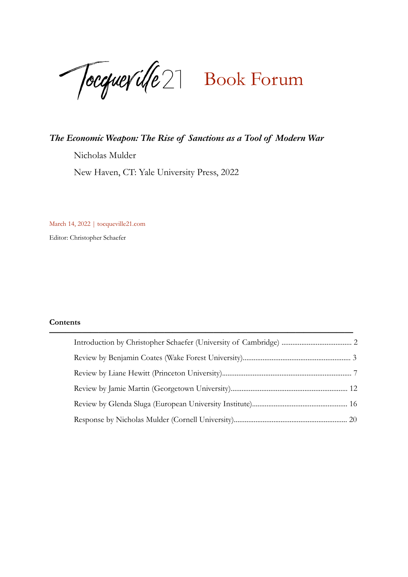Tocquerille 27 Book Forum

### *The Economic Weapon: The Rise of Sanctions as a Tool of Modern War*

Nicholas Mulder

New Haven, CT: Yale University Press, 2022

March 14, 2022 | tocqueville21.com

Editor: Christopher Schaefer

### **Contents**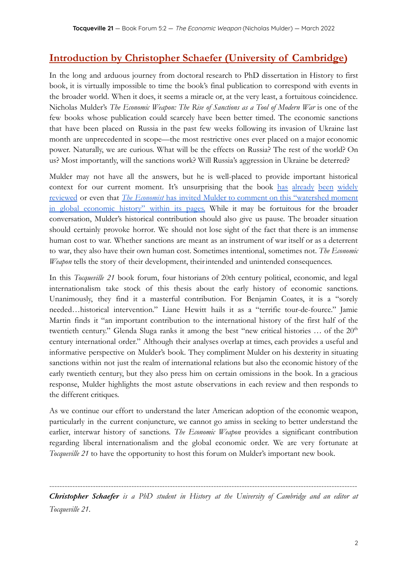### **Introduction by Christopher Schaefer (University of Cambridge)**

In the long and arduous journey from doctoral research to PhD dissertation in History to first book, it is virtually impossible to time the book's final publication to correspond with events in the broader world. When it does, it seems a miracle or, at the very least, a fortuitous coincidence. Nicholas Mulder's *The Economic Weapon: The Rise of Sanctions as a Tool of Modern War* is one of the few books whose publication could scarcely have been better timed. The economic sanctions that have been placed on Russia in the past few weeks following its invasion of Ukraine last month are unprecedented in scope—the most restrictive ones ever placed on a major economic power. Naturally, we are curious. What will be the effects on Russia? The rest of the world? On us? Most importantly, will the sanctions work? Will Russia's aggression in Ukraine be deterred?

Mulder may not have all the answers, but he is well-placed to provide important historical context for our current moment. It's unsurprising that the book [has](https://www.economist.com/finance-and-economics/2022/02/19/a-new-history-of-sanctions-has-unsettling-lessons-for-today) [already](https://warontherocks.com/2022/03/is-the-west-laissez-faire-about-economic-warfare/) [been](https://www.dissentmagazine.org/online_articles/the-history-of-sanctions) [widely](https://www.thetimes.co.uk/article/the-economic-weapon-by-nicholas-mulder-review-can-sanctions-stop-putin-26cj93wv8) [reviewed](https://www.foreignaffairs.com/reviews/capsule-review/2021-12-14/economic-weapon-rise-sanctions-tool-modern-war) or even that *The Economist* has invited Mulder to comment on this ["watershed](https://www.economist.com/by-invitation/2022/03/04/nicholas-mulder-who-studies-sanctions-declares-a-watershed-moment-in-global-economic-history) moment in global [economic](https://www.economist.com/by-invitation/2022/03/04/nicholas-mulder-who-studies-sanctions-declares-a-watershed-moment-in-global-economic-history) history" within its pages. While it may be fortuitous for the broader conversation, Mulder's historical contribution should also give us pause. The broader situation should certainly provoke horror. We should not lose sight of the fact that there is an immense human cost to war. Whether sanctions are meant as an instrument of war itself or as a deterrent to war, they also have their own human cost. Sometimes intentional, sometimes not. *The Economic Weapon* tells the story of their development, theirintended and unintended consequences.

In this *Tocqueville 21* book forum, four historians of 20th century political, economic, and legal internationalism take stock of this thesis about the early history of economic sanctions. Unanimously, they find it a masterful contribution. For Benjamin Coates, it is a "sorely needed…historical intervention." Liane Hewitt hails it as a "terrific tour-de-fource." Jamie Martin finds it "an important contribution to the international history of the first half of the twentieth century." Glenda Sluga ranks it among the best "new critical histories  $\ldots$  of the  $20<sup>th</sup>$ century international order." Although their analyses overlap at times, each provides a useful and informative perspective on Mulder's book. They compliment Mulder on his dexterity in situating sanctions within not just the realm of international relations but also the economic history of the early twentieth century, but they also press him on certain omissions in the book. In a gracious response, Mulder highlights the most astute observations in each review and then responds to the different critiques.

As we continue our effort to understand the later American adoption of the economic weapon, particularly in the current conjuncture, we cannot go amiss in seeking to better understand the earlier, interwar history of sanctions. *The Economic Weapon* provides a significant contribution regarding liberal internationalism and the global economic order. We are very fortunate at *Tocqueville 21* to have the opportunity to host this forum on Mulder's important new book.

*Christopher Schaefer is a PhD student in History at the University of Cambridge and an editor at Tocqueville 21.*

------------------------------------------------------------------------------------------------------------------------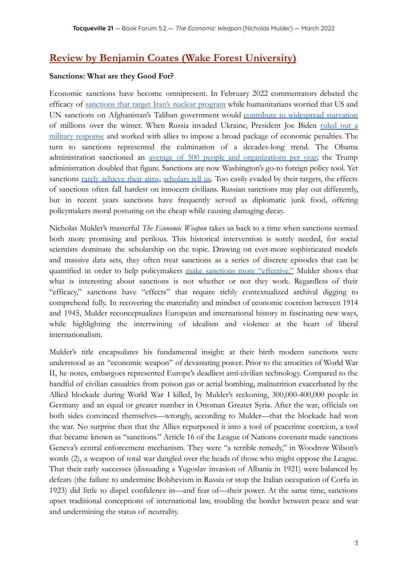## **Review by Benjamin Coates (Wake Forest University)**

#### **Sanctions: What are they Good For?**

Economic sanctions have become omnipresent. In February 2022 commentators debated the efficacy of [sanctions](https://www.afpc.org/about/experts/lawrence-j-haas) that target Iran's nuclear program while humanitarians worried that US and UN sanctions on Afghanistan's Taliban government would contribute to [widespread](https://cepr.net/us-sanctions-on-afghanistan-could-be-deadlier-than-20-years-of-war/) starvation of millions over the winter. When Russia invaded Ukraine, President Joe Biden [ruled](https://www.whitehouse.gov/briefing-room/speeches-remarks/2022/02/22/remarks-by-president-biden-announcing-response-to-russian-actions-in-ukraine/) out a military [response](https://www.whitehouse.gov/briefing-room/speeches-remarks/2022/02/22/remarks-by-president-biden-announcing-response-to-russian-actions-in-ukraine/) and worked with allies to impose a broad package of economic penalties. The turn to sanctions represented the culmination of a decades-long trend. The Obama administration sanctioned an <u>average of 500 people and [organizations](https://www.foreignaffairs.com/articles/united-states/2021-08-24/united-states-sanctions) per year</u>; the Trump administration doubled that figure. Sanctions are now Washington's go-to foreign policy tool. Yet sanctions rarely [achieve](https://oxfordre.com/internationalstudies/view/10.1093/acrefore/9780190846626.001.0001/acrefore-9780190846626-e-599?rskey=2gSXVL) their aims, [scholars](https://journals.sagepub.com/doi/full/10.1177/0738894213520379) tell us. Too easily evaded by their targets, the effects of sanctions often fall hardest on innocent civilians. Russian sanctions may play out differently, but in recent years sanctions have frequently served as diplomatic junk food, offering policymakers moral posturing on the cheap while causing damaging decay.

Nicholas Mulder's masterful *The Economic Weapon* takes us back to a time when sanctions seemed both more promising and perilous. This historical intervention is sorely needed, for social scientists dominate the scholarship on the topic. Drawing on ever-more sophisticated models and massive data sets, they often treat sanctions as a series of discrete episodes that can be quantified in order to help policymakers make sanctions more ["effective."](https://www.econstor.eu/bitstream/10419/216245/1/CESifo-Forum-2019-04-p03-08.pdf) Mulder shows that what is interesting about sanctions is not whether or not they work. Regardless of their "efficacy," sanctions have "effects" that require richly contextualized archival digging to comprehend fully. In recovering the materiality and mindset of economic coercion between 1914 and 1945, Mulder reconceptualizes European and international history in fascinating new ways, while highlighting the intertwining of idealism and violence at the heart of liberal internationalism.

Mulder's title encapsulates his fundamental insight: at their birth modern sanctions were understood as an "economic weapon" of devastating power. Prior to the atrocities of World War II, he notes, embargoes represented Europe's deadliest anti-civilian technology. Compared to the handful of civilian casualties from poison gas or aerial bombing, malnutrition exacerbated by the Allied blockade during World War I killed, by Mulder's reckoning, 300,000-400,000 people in Germany and an equal or greater number in Ottoman Greater Syria. After the war, officials on both sides convinced themselves—wrongly, according to Mulder—that the blockade had won the war. No surprise then that the Allies repurposed it into a tool of peacetime coercion, a tool that became known as "sanctions." Article 16 of the League of Nations covenant made sanctions Geneva's central enforcement mechanism. They were "a terrible remedy," in Woodrow Wilson's words (2), a weapon of total war dangled over the heads of those who might oppose the League. That their early successes (dissuading a Yugoslav invasion of Albania in 1921) were balanced by defeats (the failure to undermine Bolshevism in Russia or stop the Italian occupation of Corfu in 1923) did little to dispel confidence in—and fear of—their power. At the same time, sanctions upset traditional conceptions of international law, troubling the border between peace and war and undermining the status of neutrality.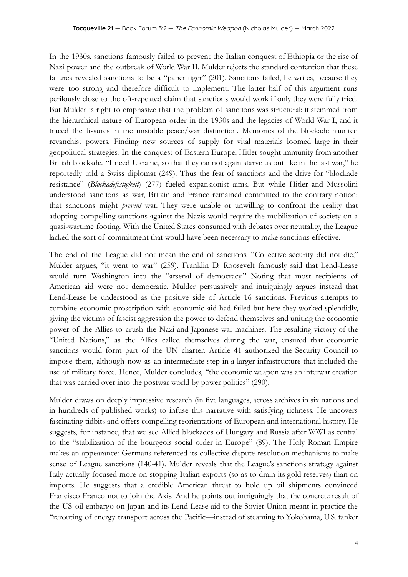In the 1930s, sanctions famously failed to prevent the Italian conquest of Ethiopia or the rise of Nazi power and the outbreak of World War II. Mulder rejects the standard contention that these failures revealed sanctions to be a "paper tiger" (201). Sanctions failed, he writes, because they were too strong and therefore difficult to implement. The latter half of this argument runs perilously close to the oft-repeated claim that sanctions would work if only they were fully tried. But Mulder is right to emphasize that the problem of sanctions was structural: it stemmed from the hierarchical nature of European order in the 1930s and the legacies of World War I, and it traced the fissures in the unstable peace/war distinction. Memories of the blockade haunted revanchist powers. Finding new sources of supply for vital materials loomed large in their geopolitical strategies. In the conquest of Eastern Europe, Hitler sought immunity from another British blockade. "I need Ukraine, so that they cannot again starve us out like in the last war," he reportedly told a Swiss diplomat (249). Thus the fear of sanctions and the drive for "blockade resistance" (*Blockadefestigkeit*) (277) fueled expansionist aims. But while Hitler and Mussolini understood sanctions as war, Britain and France remained committed to the contrary notion: that sanctions might *prevent* war. They were unable or unwilling to confront the reality that adopting compelling sanctions against the Nazis would require the mobilization of society on a quasi-wartime footing. With the United States consumed with debates over neutrality, the League lacked the sort of commitment that would have been necessary to make sanctions effective.

The end of the League did not mean the end of sanctions. "Collective security did not die," Mulder argues, "it went to war" (259). Franklin D. Roosevelt famously said that Lend-Lease would turn Washington into the "arsenal of democracy." Noting that most recipients of American aid were not democratic, Mulder persuasively and intriguingly argues instead that Lend-Lease be understood as the positive side of Article 16 sanctions. Previous attempts to combine economic proscription with economic aid had failed but here they worked splendidly, giving the victims of fascist aggression the power to defend themselves and uniting the economic power of the Allies to crush the Nazi and Japanese war machines. The resulting victory of the "United Nations," as the Allies called themselves during the war, ensured that economic sanctions would form part of the UN charter. Article 41 authorized the Security Council to impose them, although now as an intermediate step in a larger infrastructure that included the use of military force. Hence, Mulder concludes, "the economic weapon was an interwar creation that was carried over into the postwar world by power politics" (290).

Mulder draws on deeply impressive research (in five languages, across archives in six nations and in hundreds of published works) to infuse this narrative with satisfying richness. He uncovers fascinating tidbits and offers compelling reorientations of European and international history. He suggests, for instance, that we see Allied blockades of Hungary and Russia after WWI as central to the "stabilization of the bourgeois social order in Europe" (89). The Holy Roman Empire makes an appearance: Germans referenced its collective dispute resolution mechanisms to make sense of League sanctions (140-41). Mulder reveals that the League's sanctions strategy against Italy actually focused more on stopping Italian exports (so as to drain its gold reserves) than on imports. He suggests that a credible American threat to hold up oil shipments convinced Francisco Franco not to join the Axis. And he points out intriguingly that the concrete result of the US oil embargo on Japan and its Lend-Lease aid to the Soviet Union meant in practice the "rerouting of energy transport across the Pacific—instead of steaming to Yokohama, U.S. tanker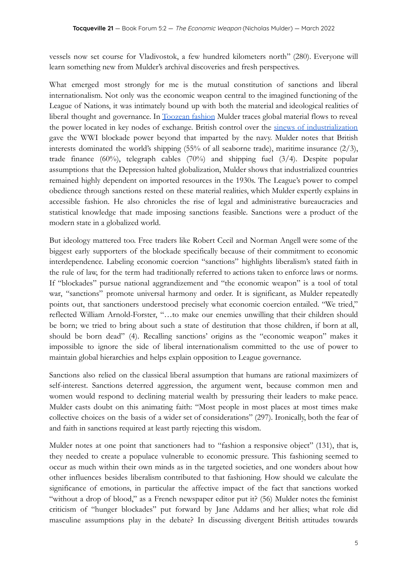vessels now set course for Vladivostok, a few hundred kilometers north" (280). Everyone will learn something new from Mulder's archival discoveries and fresh perspectives.

What emerged most strongly for me is the mutual constitution of sanctions and liberal internationalism. Not only was the economic weapon central to the imagined functioning of the League of Nations, it was intimately bound up with both the material and ideological realities of liberal thought and governance. In [Toozean](https://www.penguinrandomhouse.com/books/301356/the-deluge-by-adam-tooze/) fashion Mulder traces global material flows to reveal the power located in key nodes of exchange. British control over the sinews of [industrialization](https://www.cambridge.org/core/journals/modern-american-history/article/conundrum-of-american-power-in-the-age-of-world-war-i/35847E67582263211C47ED476DFE13E2) gave the WWI blockade power beyond that imparted by the navy. Mulder notes that British interests dominated the world's shipping (55% of all seaborne trade), maritime insurance (2/3), trade finance (60%), telegraph cables (70%) and shipping fuel (3/4). Despite popular assumptions that the Depression halted globalization, Mulder shows that industrialized countries remained highly dependent on imported resources in the 1930s. The League's power to compel obedience through sanctions rested on these material realities, which Mulder expertly explains in accessible fashion. He also chronicles the rise of legal and administrative bureaucracies and statistical knowledge that made imposing sanctions feasible. Sanctions were a product of the modern state in a globalized world.

But ideology mattered too. Free traders like Robert Cecil and Norman Angell were some of the biggest early supporters of the blockade specifically because of their commitment to economic interdependence. Labeling economic coercion "sanctions" highlights liberalism's stated faith in the rule of law, for the term had traditionally referred to actions taken to enforce laws or norms. If "blockades" pursue national aggrandizement and "the economic weapon" is a tool of total war, "sanctions" promote universal harmony and order. It is significant, as Mulder repeatedly points out, that sanctioners understood precisely what economic coercion entailed. "We tried," reflected William Arnold-Forster, "…to make our enemies unwilling that their children should be born; we tried to bring about such a state of destitution that those children, if born at all, should be born dead" (4). Recalling sanctions' origins as the "economic weapon" makes it impossible to ignore the side of liberal internationalism committed to the use of power to maintain global hierarchies and helps explain opposition to League governance.

Sanctions also relied on the classical liberal assumption that humans are rational maximizers of self-interest. Sanctions deterred aggression, the argument went, because common men and women would respond to declining material wealth by pressuring their leaders to make peace. Mulder casts doubt on this animating faith: "Most people in most places at most times make collective choices on the basis of a wider set of considerations" (297). Ironically, both the fear of and faith in sanctions required at least partly rejecting this wisdom.

Mulder notes at one point that sanctioners had to "fashion a responsive object" (131), that is, they needed to create a populace vulnerable to economic pressure. This fashioning seemed to occur as much within their own minds as in the targeted societies, and one wonders about how other influences besides liberalism contributed to that fashioning. How should we calculate the significance of emotions, in particular the affective impact of the fact that sanctions worked "without a drop of blood," as a French newspaper editor put it? (56) Mulder notes the feminist criticism of "hunger blockades" put forward by Jane Addams and her allies; what role did masculine assumptions play in the debate? In discussing divergent British attitudes towards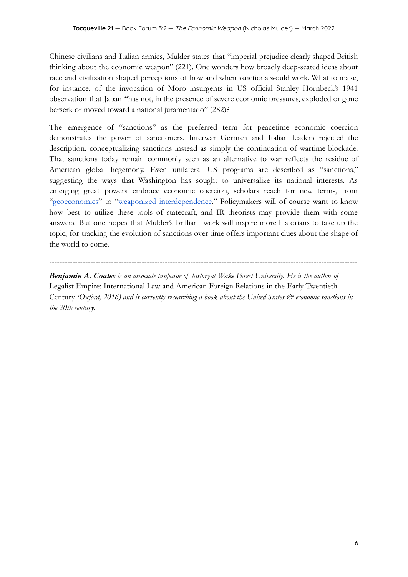Chinese civilians and Italian armies, Mulder states that "imperial prejudice clearly shaped British thinking about the economic weapon" (221). One wonders how broadly deep-seated ideas about race and civilization shaped perceptions of how and when sanctions would work. What to make, for instance, of the invocation of Moro insurgents in US official Stanley Hornbeck's 1941 observation that Japan "has not, in the presence of severe economic pressures, exploded or gone berserk or moved toward a national juramentado" (282)?

The emergence of "sanctions" as the preferred term for peacetime economic coercion demonstrates the power of sanctioners. Interwar German and Italian leaders rejected the description, conceptualizing sanctions instead as simply the continuation of wartime blockade. That sanctions today remain commonly seen as an alternative to war reflects the residue of American global hegemony. Even unilateral US programs are described as "sanctions," suggesting the ways that Washington has sought to universalize its national interests. As emerging great powers embrace economic coercion, scholars reach for new terms, from ["geoeconomics"](https://www.hup.harvard.edu/catalog.php?isbn=9780674979796) to "weaponized [interdependence](https://direct.mit.edu/isec/article-abstract/44/1/42/12237/Weaponized-Interdependence-How-Global-Economic)." Policymakers will of course want to know how best to utilize these tools of statecraft, and IR theorists may provide them with some answers. But one hopes that Mulder's brilliant work will inspire more historians to take up the topic, for tracking the evolution of sanctions over time offers important clues about the shape of the world to come.

*Benjamin A. Coates is an associate professor of historyat Wake Forest University. He is the author of* Legalist Empire: International Law and American Foreign Relations in the Early Twentieth Century *(Oxford, 2016) and is currently researching a book about the United States & economic sanctions in the 20th century.*

------------------------------------------------------------------------------------------------------------------------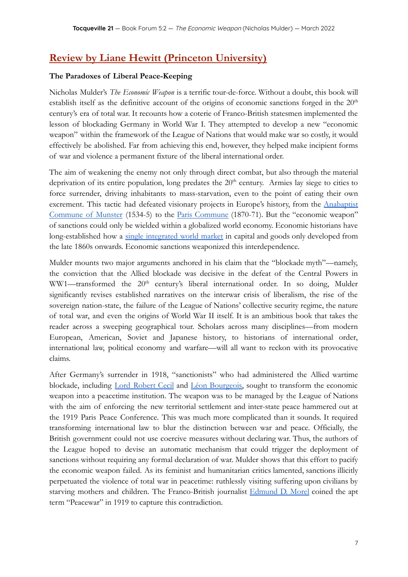# **Review by Liane Hewitt (Princeton University)**

### **The Paradoxes of Liberal Peace-Keeping**

Nicholas Mulder's *The Economic Weapon* is a terrific tour-de-force. Without a doubt, this book will establish itself as the definitive account of the origins of economic sanctions forged in the  $20<sup>th</sup>$ century's era of total war. It recounts how a coterie of Franco-British statesmen implemented the lesson of blockading Germany in World War I. They attempted to develop a new "economic weapon" within the framework of the League of Nations that would make war so costly, it would effectively be abolished. Far from achieving this end, however, they helped make incipient forms of war and violence a permanent fixture of the liberal international order.

The aim of weakening the enemy not only through direct combat, but also through the material deprivation of its entire population, long predates the 20<sup>th</sup> century. Armies lay siege to cities to force surrender, driving inhabitants to mass-starvation, even to the point of eating their own excrement. This tactic had defeated visionary projects in Europe's history, from the **[Anabaptist](https://link.springer.com/content/pdf/bfm%3A978-0-230-61256-3%2F1.pdf)** [Commune](https://link.springer.com/content/pdf/bfm%3A978-0-230-61256-3%2F1.pdf) of Munster (1534-5) to the Paris [Commune](https://www.routledge.com/The-Paris-Commune-1871/Tombs/p/book/9780582309036) (1870-71). But the "economic weapon" of sanctions could only be wielded within a globalized world economy. Economic historians have long-established how a single [integrated](https://books.google.ca/books/about/Global_Capital_Markets.html?id=R0U18XhRK1MC&redir_esc=y) world market in capital and goods only developed from the late 1860s onwards. Economic sanctions weaponized this interdependence.

Mulder mounts two major arguments anchored in his claim that the "blockade myth"—namely, the conviction that the Allied blockade was decisive in the defeat of the Central Powers in WW1—transformed the 20<sup>th</sup> century's liberal international order. In so doing, Mulder significantly revises established narratives on the interwar crisis of liberalism, the rise of the sovereign nation-state, the failure of the League of Nations' collective security regime, the nature of total war, and even the origins of World War II itself. It is an ambitious book that takes the reader across a sweeping geographical tour. Scholars across many disciplines—from modern European, American, Soviet and Japanese history, to historians of international order, international law, political economy and warfare—will all want to reckon with its provocative claims.

After Germany's surrender in 1918, "sanctionists" who had administered the Allied wartime blockade, including Lord [Robert](https://www.britannica.com/biography/Robert-Cecil) Cecil and Léon [Bourgeois,](https://www.britannica.com/biography/Leon-Bourgeois) sought to transform the economic weapon into a peacetime institution. The weapon was to be managed by the League of Nations with the aim of enforcing the new territorial settlement and inter-state peace hammered out at the 1919 Paris Peace Conference. This was much more complicated than it sounds. It required transforming international law to blur the distinction between war and peace. Officially, the British government could not use coercive measures without declaring war. Thus, the authors of the League hoped to devise an automatic mechanism that could trigger the deployment of sanctions without requiring any formal declaration of war. Mulder shows that this effort to pacify the economic weapon failed. As its feminist and humanitarian critics lamented, sanctions illicitly perpetuated the violence of total war in peacetime: ruthlessly visiting suffering upon civilians by starving mothers and children. The Franco-British journalist [Edmund](https://encyclopedia.1914-1918-online.net/article/morel_edmund_dene) D. Morel coined the apt term "Peacewar" in 1919 to capture this contradiction.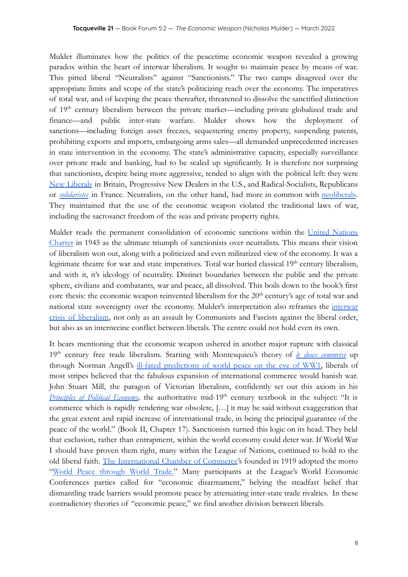Mulder illuminates how the politics of the peacetime economic weapon revealed a growing paradox within the heart of interwar liberalism. It sought to maintain peace by means of war. This pitted liberal "Neutralists" against "Sanctionists." The two camps disagreed over the appropriate limits and scope of the state's politicizing reach over the economy. The imperatives of total war, and of keeping the peace thereafter, threatened to dissolve the sanctified distinction of 19<sup>th</sup> century liberalism between the private market—including private globalized trade and finance—and public inter-state warfare. Mulder shows how the deployment of sanctions—including foreign asset freezes, sequestering enemy property, suspending patents, prohibiting exports and imports, embargoing arms sales—all demanded unprecedented increases in state intervention in the economy. The state's administrative capacity, especially surveillance over private trade and banking, had to be scaled up significantly. It is therefore not surprising that sanctionists, despite being more aggressive, tended to align with the political left: they wer[e](https://www.britannica.com/topic/new-liberalism) New [Liberals](https://www.britannica.com/topic/new-liberalism) in Britain, Progressive New Dealers in the U.S., and Radical-Socialists, Republicans or *[solidaristes](https://www.dukeupress.edu/a-social-laboratory-for-modern-france)* in France. Neutralists, on the other hand, had more in common with [neoliberals.](https://www.hup.harvard.edu/catalog.php?isbn=9780674979529) They maintained that the use of the economic weapon violated the traditional laws of war, including the sacrosanct freedom of the seas and private property rights.

Mulder reads the permanent consolidation of economic sanctions within the United [Nations](https://treaties.un.org/doc/publication/ctc/uncharter.pdf) [Charter](https://treaties.un.org/doc/publication/ctc/uncharter.pdf) in 1945 as the ultimate triumph of sanctionists over neutralists. This means their vision of liberalism won out, along with a politicized and even militarized view of the economy. It was a legitimate theatre for war and state imperatives. Total war buried classical 19<sup>th</sup> century liberalism, and with it, it's ideology of neutrality. Distinct boundaries between the public and the private sphere, civilians and combatants, war and peace, all dissolved. This boils down to the book's first core thesis: the economic weapon reinvented liberalism for the  $20<sup>th</sup>$  century's age of total war and national state sovereignty over the economy. Mulder's interpretation also reframes the [interwar](https://books.google.ca/books/about/Dark_Continent.html?id=W9gwYS1V334C) crisis of [liberalism,](https://books.google.ca/books/about/Dark_Continent.html?id=W9gwYS1V334C) not only as an assault by Communists and Fascists against the liberal order, but also as an internecine conflict between liberals. The centre could not hold even its own.

It bears mentioning that the economic weapon ushered in another major rupture with classical 19th century free trade liberalism. Starting with Montesquieu's theory of *le doux [commerce](https://scholarship.law.wm.edu/cgi/viewcontent.cgi?article=1149&context=wmblr)* up through Norman Angell's ill-fated [predictions](https://www.jstor.org/stable/20097198) of world peace on the eve of WW1, liberals of most stripes believed that the fabulous expansion of international commerce would banish war. John Stuart Mill, the paragon of Victorian liberalism, confidently set out this axiom in his *[Principles](https://www.econlib.org/library/Mill/mlP.html) of Political Economy*, the authoritative mid-19<sup>th</sup> century textbook in the subject: "It is commerce which is rapidly rendering war obsolete, […] it may be said without exaggeration that the great extent and rapid increase of international trade, in being the principal guarantee of the peace of the world." (Book II, Chapter 17). Sanctionists turned this logic on its head. They held that exclusion, rather than entrapment, within the world economy could deter war. If World War I should have proven them right, many within the League of Nations, continued to hold to the old liberal faith. The [International](https://books.google.ca/books/about/Merchants_of_Peace.html?id=JodCAAAAIAAJ&redir_esc=y) Chamber of Commerce's founded in 1919 adopted the motto "World Peace [through](https://www.google.ca/books/edition/Peace_and_Prosperity_through_World_Trade/B4kBJ6b9dGAC?hl=en&gbpv=1&printsec=frontcover) World Trade." Many participants at the League's World Economic Conferences parties called for "economic disarmament," belying the steadfast belief that dismantling trade barriers would promote peace by attenuating inter-state trade rivalries. In these contradictory theories of "economic peace," we find another division between liberals.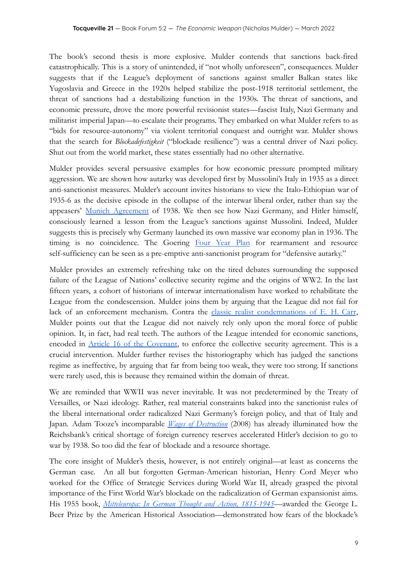The book's second thesis is more explosive. Mulder contends that sanctions back-fired catastrophically. This is a story of unintended, if "not wholly unforeseen", consequences. Mulder suggests that if the League's deployment of sanctions against smaller Balkan states like Yugoslavia and Greece in the 1920s helped stabilize the post-1918 territorial settlement, the threat of sanctions had a destabilizing function in the 1930s. The threat of sanctions, and economic pressure, drove the more powerful revisionist states—fascist Italy, Nazi Germany and militarist imperial Japan—to escalate their programs. They embarked on what Mulder refers to as "bids for resource-autonomy" via violent territorial conquest and outright war. Mulder shows that the search for *Blockadefestigkeit* ("blockade resilience") was a central driver of Nazi policy. Shut out from the world market, these states essentially had no other alternative.

Mulder provides several persuasive examples for how economic pressure prompted military aggression. We are shown how autarky was developed first by Mussolini's Italy in 1935 as a direct anti-sanctionist measures. Mulder's account invites historians to view the Italo-Ethiopian war of 1935-6 as the decisive episode in the collapse of the interwar liberal order, rather than say the appeasers' Munich [Agreement](https://books.google.ca/books/about/The_Blockade_1914_1919_Before_the_Armist.html?id=L0HDxAEACAAJ&redir_esc=y) of 1938. We then see how Nazi Germany, and Hitler himself, consciously learned a lesson from the League's sanctions against Mussolini. Indeed, Mulder suggests this is precisely why Germany launched its own massive war economy plan in 1936. The timing is no coincidence. The Goering [Four](https://www.gale.com/c/the-economy-and-war-in-the-third-reich-1933-1944-#:~:text=Goering%20introduced%20the%204%2Dyear,sent%20to%20a%20concentration%20camp.) Year Plan for rearmament and resource self-sufficiency can be seen as a pre-emptive anti-sanctionist program for "defensive autarky."

Mulder provides an extremely refreshing take on the tired debates surrounding the supposed failure of the League of Nations' collective security regime and the origins of WW2. In the last fifteen years, a cohort of historians of interwar internationalism have worked to rehabilitate the League from the condescension. Mulder joins them by arguing that the League did not fail for lack of an enforcement mechanism. Contra the classic realist [condemnations](https://www.google.ca/books/edition/The_Twenty_Years_Crisis_1919_1939/9ZSkDQAAQBAJ?hl=en&gbpv=1&printsec=frontcover) of E. H. Carr, Mulder points out that the League did not naively rely only upon the moral force of public opinion. It, in fact, had real teeth. The authors of the League intended for economic sanctions, encoded in Article 16 of the [Covenant,](https://avalon.law.yale.edu/20th_century/leagcov.asp#art16) to enforce the collective security agreement. This is a crucial intervention. Mulder further revises the historiography which has judged the sanctions regime as ineffective, by arguing that far from being too weak, they were too strong. If sanctions were rarely used, this is because they remained within the domain of threat.

We are reminded that WWII was never inevitable. It was not predetermined by the Treaty of Versailles, or Nazi ideology. Rather, real material constraints baked into the sanctionist rules of the liberal international order radicalized Nazi Germany's foreign policy, and that of Italy and Japan. Adam Tooze's incomparable *Wages of [Destruction](https://www.google.ca/books/edition/The_Wages_of_Destruction/xcekWzXFmo8C?hl=en&gbpv=1&printsec=frontcover)* (2008) has already illuminated how the Reichsbank's critical shortage of foreign currency reserves accelerated Hitler's decision to go to war by 1938. So too did the fear of blockade and a resource shortage.

The core insight of Mulder's thesis, however, is not entirely original—at least as concerns the German case. An all but forgotten German-American historian, Henry Cord Meyer who worked for the Office of Strategic Services during World War II, already grasped the pivotal importance of the First World War's blockade on the radicalization of German expansionist aims. His 1955 book, *[Mitteleuropa:](https://books.google.ca/books/about/Mitteleuropa.html?id=D7C1BwAAQBAJ&redir_esc=y) In German Thought and Action, 1815-1945*—awarded the George L. Beer Prize by the American Historical Association—demonstrated how fears of the blockade's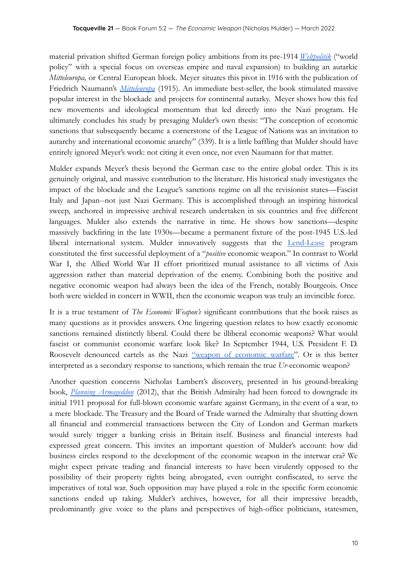material privation shifted German foreign policy ambitions from its pre-1914 *[Weltpolitik](https://books.google.ca/books/about/Preparing_for_Weltpolitik.html?id=XpPfAAAAMAAJ&redir_esc=y)* ("world policy" with a special focus on overseas empire and naval expansion) to building an autarkic *Mitteleuropa,* or Central European block. Meyer situates this pivot in 1916 with the publication of Friedrich Naumann's *[Mitteleuropa](https://archive.org/details/centraleurope00naumgoog/page/n332/mode/2up)* (1915)*.* An immediate best-seller, the book stimulated massive popular interest in the blockade and projects for continental autarky. Meyer shows how this fed new movements and ideological momentum that led directly into the Nazi program. He ultimately concludes his study by presaging Mulder's own thesis: "The conception of economic sanctions that subsequently became a cornerstone of the League of Nations was an invitation to autarchy and international economic anarchy" (339). It is a little baffling that Mulder should have entirely ignored Meyer's work: not citing it even once, nor even Naumann for that matter.

Mulder expands Meyer's thesis beyond the German case to the entire global order. This is its genuinely original, and massive contribution to the literature. His historical study investigates the impact of the blockade and the League's sanctions regime on all the revisionist states—Fascist Italy and Japan--not just Nazi Germany. This is accomplished through an inspiring historical sweep, anchored in impressive archival research undertaken in six countries and five different languages. Mulder also extends the narrative in time. He shows how sanctions—despite massively backfiring in the late 1930s—became a permanent fixture of the post-1945 U.S.-led liberal international system. Mulder innovatively suggests that the **[Lend-Lease](https://www.britannica.com/topic/lend-lease)** program constituted the first successful deployment of a "*positive* economic weapon." In contrast to World War I, the Allied World War II effort prioritized mutual assistance to all victims of Axis aggression rather than material deprivation of the enemy. Combining both the positive and negative economic weapon had always been the idea of the French, notably Bourgeois. Once both were wielded in concert in WWII, then the economic weapon was truly an invincible force.

It is a true testament of *The Economic Weapon's* significant contributions that the book raises as many questions as it provides answers. One lingering question relates to how exactly economic sanctions remained distinctly liberal. Could there be illiberal economic weapons? What would fascist or communist economic warfare look like? In September 1944, U.S. President F. D. Roosevelt denounced cartels as the Nazi "weapon of [economic](https://quod.lib.umich.edu/p/ppotpus/4926605.1944.001?rgn=main;view=fulltext) warfare". Or is this better interpreted as a secondary response to sanctions, which remain the true *Ur*-economic weapon?

Another question concerns Nicholas Lambert's discovery, presented in his ground-breaking book, *Planning [Armageddon](https://www.hup.harvard.edu/catalog.php?isbn=9780674061491)* (2012), that the British Admiralty had been forced to downgrade its initial 1911 proposal for full-blown economic warfare against Germany, in the event of a war, to a mere blockade. The Treasury and the Board of Trade warned the Admiralty that shutting down all financial and commercial transactions between the City of London and German markets would surely trigger a banking crisis in Britain itself. Business and financial interests had expressed great concern. This invites an important question of Mulder's account: how did business circles respond to the development of the economic weapon in the interwar era? We might expect private trading and financial interests to have been virulently opposed to the possibility of their property rights being abrogated, even outright confiscated, to serve the imperatives of total war. Such opposition may have played a role in the specific form economic sanctions ended up taking. Mulder's archives, however, for all their impressive breadth, predominantly give voice to the plans and perspectives of high-office politicians, statesmen,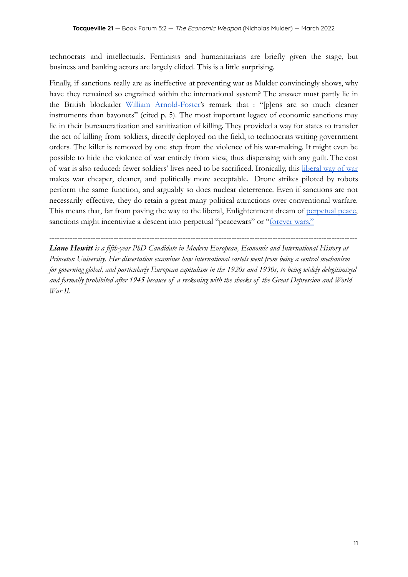technocrats and intellectuals. Feminists and humanitarians are briefly given the stage, but business and banking actors are largely elided. This is a little surprising.

Finally, if sanctions really are as ineffective at preventing war as Mulder convincingly shows, why have they remained so engrained within the international system? The answer must partly lie in the British blockader William [Arnold-Foster'](https://books.google.ca/books/about/The_Blockade_1914_1919_Before_the_Armist.html?id=L0HDxAEACAAJ&redir_esc=y)s remark that : "[p]ens are so much cleaner instruments than bayonets" (cited p. 5). The most important legacy of economic sanctions may lie in their bureaucratization and sanitization of killing. They provided a way for states to transfer the act of killing from soldiers, directly deployed on the field, to technocrats writing government orders. The killer is removed by one step from the violence of his war-making. It might even be possible to hide the violence of war entirely from view, thus dispensing with any guilt. The cost of war is also reduced: fewer soldiers' lives need to be sacrificed. Ironically, this [liberal](https://www.cambridge.org/gb/academic/subjects/history/twentieth-century-british-history/warfare-state-britain-19201970?format=PB&isbn=9780521672313) way of war makes war cheaper, cleaner, and politically more acceptable. Drone strikes piloted by robots perform the same function, and arguably so does nuclear deterrence. Even if sanctions are not necessarily effective, they do retain a great many political attractions over conventional warfare. This means that, far from paving the way to the liberal, Enlightenment dream of [perpetual](https://www.gutenberg.org/files/50922/50922-h/50922-h.htm) peace, sanctions might incentivize a descent into perpetual "peacewars" or "[forever wars."](https://us.macmillan.com/books/9780374173708/humane)

------------------------------------------------------------------------------------------------------------------------ *Liane Hewitt is a fifth-year PhD Candidate in Modern European, Economic and International History at Princeton University. Her dissertation examines how international cartels went from being a central mechanism for governing global, and particularly European capitalism in the 1920s and 1930s, to being widely delegitimized and formally prohibited after 1945 because of a reckoning with the shocks of the Great Depression and World War II.*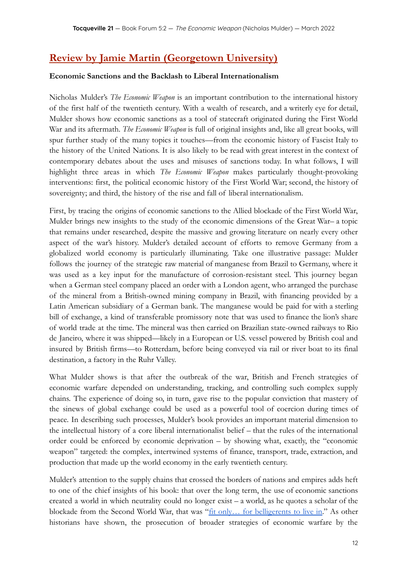# **Review by Jamie Martin (Georgetown University)**

#### **Economic Sanctions and the Backlash to Liberal Internationalism**

Nicholas Mulder's *The Economic Weapon* is an important contribution to the international history of the first half of the twentieth century. With a wealth of research, and a writerly eye for detail, Mulder shows how economic sanctions as a tool of statecraft originated during the First World War and its aftermath. *The Economic Weapon* is full of original insights and, like all great books, will spur further study of the many topics it touches—from the economic history of Fascist Italy to the history of the United Nations. It is also likely to be read with great interest in the context of contemporary debates about the uses and misuses of sanctions today. In what follows, I will highlight three areas in which *The Economic Weapon* makes particularly thought-provoking interventions: first, the political economic history of the First World War; second, the history of sovereignty; and third, the history of the rise and fall of liberal internationalism.

First, by tracing the origins of economic sanctions to the Allied blockade of the First World War, Mulder brings new insights to the study of the economic dimensions of the Great War– a topic that remains under researched, despite the massive and growing literature on nearly every other aspect of the war's history. Mulder's detailed account of efforts to remove Germany from a globalized world economy is particularly illuminating. Take one illustrative passage: Mulder follows the journey of the strategic raw material of manganese from Brazil to Germany, where it was used as a key input for the manufacture of corrosion-resistant steel. This journey began when a German steel company placed an order with a London agent, who arranged the purchase of the mineral from a British-owned mining company in Brazil, with financing provided by a Latin American subsidiary of a German bank. The manganese would be paid for with a sterling bill of exchange, a kind of transferable promissory note that was used to finance the lion's share of world trade at the time. The mineral was then carried on Brazilian state-owned railways to Rio de Janeiro, where it was shipped—likely in a European or U.S. vessel powered by British coal and insured by British firms—to Rotterdam, before being conveyed via rail or river boat to its final destination, a factory in the Ruhr Valley.

What Mulder shows is that after the outbreak of the war, British and French strategies of economic warfare depended on understanding, tracking, and controlling such complex supply chains. The experience of doing so, in turn, gave rise to the popular conviction that mastery of the sinews of global exchange could be used as a powerful tool of coercion during times of peace. In describing such processes, Mulder's book provides an important material dimension to the intellectual history of a core liberal internationalist belief – that the rules of the international order could be enforced by economic deprivation – by showing what, exactly, the "economic weapon" targeted: the complex, intertwined systems of finance, transport, trade, extraction, and production that made up the world economy in the early twentieth century.

Mulder's attention to the supply chains that crossed the borders of nations and empires adds heft to one of the chief insights of his book: that over the long term, the use of economic sanctions created a world in which neutrality could no longer exist – a world, as he quotes a scholar of the blockade from the Second World War, that was "fit only... for [belligerents](https://www.google.com/books/edition/The_Economic_Blockade/tvNmAAAAMAAJ?hl=en&gbpv=1) to live in." As other historians have shown, the prosecution of broader strategies of economic warfare by the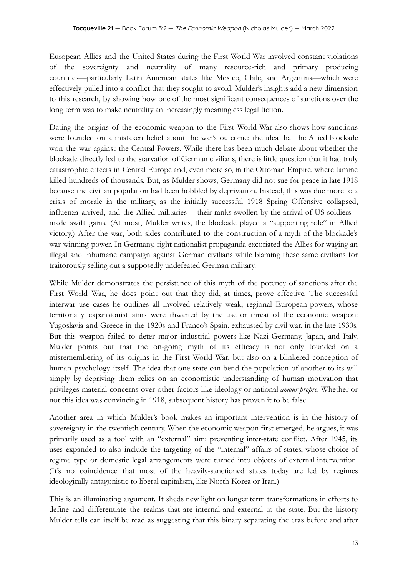European Allies and the United States during the First World War involved constant violations of the sovereignty and neutrality of many resource-rich and primary producing countries—particularly Latin American states like Mexico, Chile, and Argentina—which were effectively pulled into a conflict that they sought to avoid. Mulder's insights add a new dimension to this research, by showing how one of the most significant consequences of sanctions over the long term was to make neutrality an increasingly meaningless legal fiction.

Dating the origins of the economic weapon to the First World War also shows how sanctions were founded on a mistaken belief about the war's outcome: the idea that the Allied blockade won the war against the Central Powers. While there has been much debate about whether the blockade directly led to the starvation of German civilians, there is little question that it had truly catastrophic effects in Central Europe and, even more so, in the Ottoman Empire, where famine killed hundreds of thousands. But, as Mulder shows, Germany did not sue for peace in late 1918 because the civilian population had been hobbled by deprivation. Instead, this was due more to a crisis of morale in the military, as the initially successful 1918 Spring Offensive collapsed, influenza arrived, and the Allied militaries – their ranks swollen by the arrival of US soldiers – made swift gains. (At most, Mulder writes, the blockade played a "supporting role" in Allied victory.) After the war, both sides contributed to the construction of a myth of the blockade's war-winning power. In Germany, right nationalist propaganda excoriated the Allies for waging an illegal and inhumane campaign against German civilians while blaming these same civilians for traitorously selling out a supposedly undefeated German military.

While Mulder demonstrates the persistence of this myth of the potency of sanctions after the First World War, he does point out that they did, at times, prove effective. The successful interwar use cases he outlines all involved relatively weak, regional European powers, whose territorially expansionist aims were thwarted by the use or threat of the economic weapon: Yugoslavia and Greece in the 1920s and Franco's Spain, exhausted by civil war, in the late 1930s. But this weapon failed to deter major industrial powers like Nazi Germany, Japan, and Italy. Mulder points out that the on-going myth of its efficacy is not only founded on a misremembering of its origins in the First World War, but also on a blinkered conception of human psychology itself. The idea that one state can bend the population of another to its will simply by depriving them relies on an economistic understanding of human motivation that privileges material concerns over other factors like ideology or national *amour propre*. Whether or not this idea was convincing in 1918, subsequent history has proven it to be false.

Another area in which Mulder's book makes an important intervention is in the history of sovereignty in the twentieth century. When the economic weapon first emerged, he argues, it was primarily used as a tool with an "external" aim: preventing inter-state conflict. After 1945, its uses expanded to also include the targeting of the "internal" affairs of states, whose choice of regime type or domestic legal arrangements were turned into objects of external intervention. (It's no coincidence that most of the heavily-sanctioned states today are led by regimes ideologically antagonistic to liberal capitalism, like North Korea or Iran.)

This is an illuminating argument. It sheds new light on longer term transformations in efforts to define and differentiate the realms that are internal and external to the state. But the history Mulder tells can itself be read as suggesting that this binary separating the eras before and after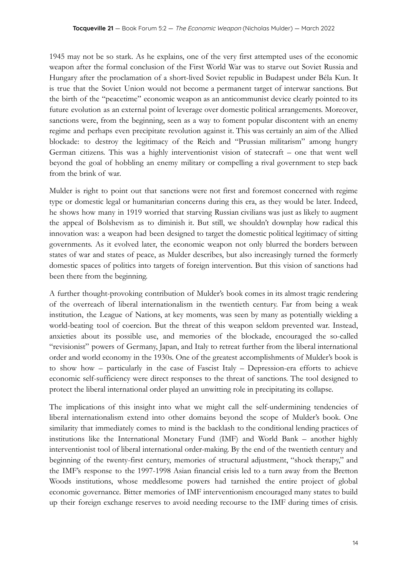1945 may not be so stark. As he explains, one of the very first attempted uses of the economic weapon after the formal conclusion of the First World War was to starve out Soviet Russia and Hungary after the proclamation of a short-lived Soviet republic in Budapest under Béla Kun. It is true that the Soviet Union would not become a permanent target of interwar sanctions. But the birth of the "peacetime" economic weapon as an anticommunist device clearly pointed to its future evolution as an external point of leverage over domestic political arrangements. Moreover, sanctions were, from the beginning, seen as a way to foment popular discontent with an enemy regime and perhaps even precipitate revolution against it. This was certainly an aim of the Allied blockade: to destroy the legitimacy of the Reich and "Prussian militarism" among hungry German citizens. This was a highly interventionist vision of statecraft – one that went well beyond the goal of hobbling an enemy military or compelling a rival government to step back from the brink of war.

Mulder is right to point out that sanctions were not first and foremost concerned with regime type or domestic legal or humanitarian concerns during this era, as they would be later. Indeed, he shows how many in 1919 worried that starving Russian civilians was just as likely to augment the appeal of Bolshevism as to diminish it. But still, we shouldn't downplay how radical this innovation was: a weapon had been designed to target the domestic political legitimacy of sitting governments. As it evolved later, the economic weapon not only blurred the borders between states of war and states of peace, as Mulder describes, but also increasingly turned the formerly domestic spaces of politics into targets of foreign intervention. But this vision of sanctions had been there from the beginning.

A further thought-provoking contribution of Mulder's book comes in its almost tragic rendering of the overreach of liberal internationalism in the twentieth century. Far from being a weak institution, the League of Nations, at key moments, was seen by many as potentially wielding a world-beating tool of coercion. But the threat of this weapon seldom prevented war. Instead, anxieties about its possible use, and memories of the blockade, encouraged the so-called "revisionist" powers of Germany, Japan, and Italy to retreat further from the liberal international order and world economy in the 1930s. One of the greatest accomplishments of Mulder's book is to show how – particularly in the case of Fascist Italy – Depression-era efforts to achieve economic self-sufficiency were direct responses to the threat of sanctions. The tool designed to protect the liberal international order played an unwitting role in precipitating its collapse.

The implications of this insight into what we might call the self-undermining tendencies of liberal internationalism extend into other domains beyond the scope of Mulder's book. One similarity that immediately comes to mind is the backlash to the conditional lending practices of institutions like the International Monetary Fund (IMF) and World Bank – another highly interventionist tool of liberal international order-making. By the end of the twentieth century and beginning of the twenty-first century, memories of structural adjustment, "shock therapy," and the IMF's response to the 1997-1998 Asian financial crisis led to a turn away from the Bretton Woods institutions, whose meddlesome powers had tarnished the entire project of global economic governance. Bitter memories of IMF interventionism encouraged many states to build up their foreign exchange reserves to avoid needing recourse to the IMF during times of crisis.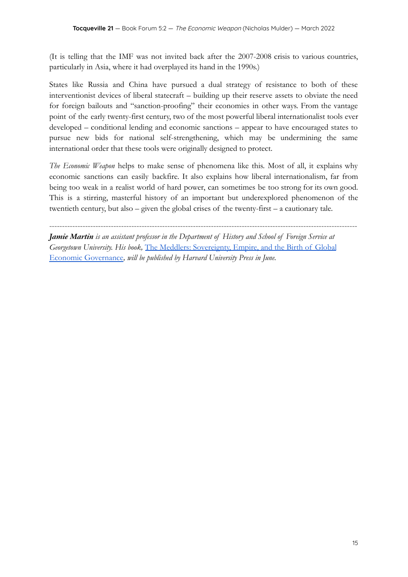(It is telling that the IMF was not invited back after the 2007-2008 crisis to various countries, particularly in Asia, where it had overplayed its hand in the 1990s.)

States like Russia and China have pursued a dual strategy of resistance to both of these interventionist devices of liberal statecraft – building up their reserve assets to obviate the need for foreign bailouts and "sanction-proofing" their economies in other ways. From the vantage point of the early twenty-first century, two of the most powerful liberal internationalist tools ever developed – conditional lending and economic sanctions – appear to have encouraged states to pursue new bids for national self-strengthening, which may be undermining the same international order that these tools were originally designed to protect.

*The Economic Weapon* helps to make sense of phenomena like this. Most of all, it explains why economic sanctions can easily backfire. It also explains how liberal internationalism, far from being too weak in a realist world of hard power, can sometimes be too strong for its own good. This is a stirring, masterful history of an important but underexplored phenomenon of the twentieth century, but also – given the global crises of the twenty-first – a cautionary tale.

------------------------------------------------------------------------------------------------------------------------

*Jamie Martin is an assistant professor in the Department of History and School of Foreign Service at Georgetown University. His book,* The Meddlers: Sovereignty, [Empire, and the Birth of Global](https://www.hup.harvard.edu/catalog.php?isbn=9780674976542) [Economic Governance](https://www.hup.harvard.edu/catalog.php?isbn=9780674976542)*, will be published by Harvard University Press in June.*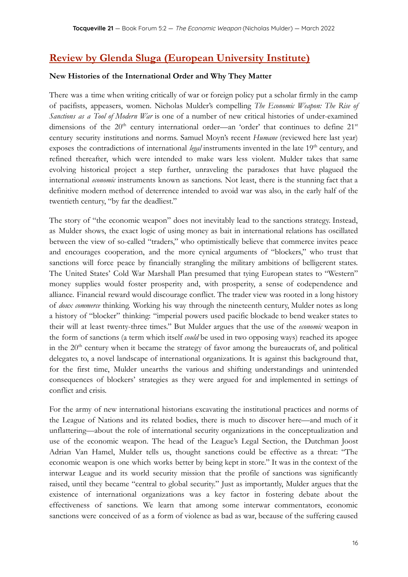## **Review by Glenda Sluga (European University Institute)**

#### **New Histories of the International Order and Why They Matter**

There was a time when writing critically of war or foreign policy put a scholar firmly in the camp of pacifists, appeasers, women. Nicholas Mulder's compelling *The Economic Weapon: The Rise of Sanctions as a Tool of Modern War* is one of a number of new critical histories of under-examined dimensions of the  $20<sup>th</sup>$  century international order—an 'order' that continues to define  $21<sup>st</sup>$ century security institutions and norms. Samuel Moyn's recent *Humane* (reviewed here last year) exposes the contradictions of international *legal* instruments invented in the late 19<sup>th</sup> century, and refined thereafter, which were intended to make wars less violent. Mulder takes that same evolving historical project a step further, unraveling the paradoxes that have plagued the international *economic* instruments known as sanctions. Not least, there is the stunning fact that a definitive modern method of deterrence intended to avoid war was also, in the early half of the twentieth century, "by far the deadliest."

The story of "the economic weapon" does not inevitably lead to the sanctions strategy. Instead, as Mulder shows, the exact logic of using money as bait in international relations has oscillated between the view of so-called "traders," who optimistically believe that commerce invites peace and encourages cooperation, and the more cynical arguments of "blockers," who trust that sanctions will force peace by financially strangling the military ambitions of belligerent states. The United States' Cold War Marshall Plan presumed that tying European states to "Western" money supplies would foster prosperity and, with prosperity, a sense of codependence and alliance. Financial reward would discourage conflict. The trader view was rooted in a long history of *doux commerce* thinking. Working his way through the nineteenth century, Mulder notes as long a history of "blocker" thinking: "imperial powers used pacific blockade to bend weaker states to their will at least twenty-three times." But Mulder argues that the use of the *economic* weapon in the form of sanctions (a term which itself *could* be used in two opposing ways) reached its apogee in the  $20<sup>th</sup>$  century when it became the strategy of favor among the bureaucrats of, and political delegates to, a novel landscape of international organizations. It is against this background that, for the first time, Mulder unearths the various and shifting understandings and unintended consequences of blockers' strategies as they were argued for and implemented in settings of conflict and crisis.

For the army of new international historians excavating the institutional practices and norms of the League of Nations and its related bodies, there is much to discover here—and much of it unflattering—about the role of international security organizations in the conceptualization and use of the economic weapon. The head of the League's Legal Section, the Dutchman Joost Adrian Van Hamel, Mulder tells us, thought sanctions could be effective as a threat: "The economic weapon is one which works better by being kept in store." It was in the context of the interwar League and its world security mission that the profile of sanctions was significantly raised, until they became "central to global security." Just as importantly, Mulder argues that the existence of international organizations was a key factor in fostering debate about the effectiveness of sanctions. We learn that among some interwar commentators, economic sanctions were conceived of as a form of violence as bad as war, because of the suffering caused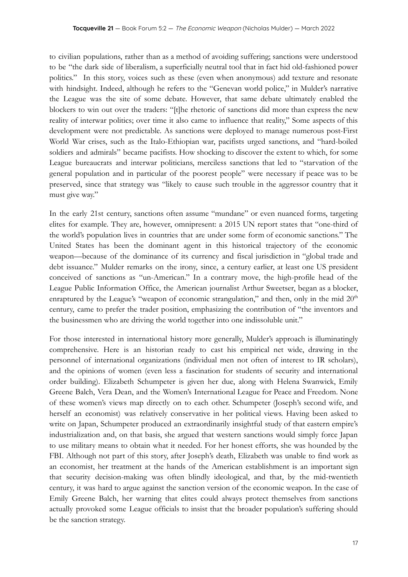to civilian populations, rather than as a method of avoiding suffering; sanctions were understood to be "the dark side of liberalism, a superficially neutral tool that in fact hid old-fashioned power politics." In this story, voices such as these (even when anonymous) add texture and resonate with hindsight. Indeed, although he refers to the "Genevan world police," in Mulder's narrative the League was the site of some debate. However, that same debate ultimately enabled the blockers to win out over the traders: "[t]he rhetoric of sanctions did more than express the new reality of interwar politics; over time it also came to influence that reality," Some aspects of this development were not predictable. As sanctions were deployed to manage numerous post-First World War crises, such as the Italo-Ethiopian war, pacifists urged sanctions, and "hard-boiled soldiers and admirals" became pacifists. How shocking to discover the extent to which, for some League bureaucrats and interwar politicians, merciless sanctions that led to "starvation of the general population and in particular of the poorest people" were necessary if peace was to be preserved, since that strategy was "likely to cause such trouble in the aggressor country that it must give way."

In the early 21st century, sanctions often assume "mundane" or even nuanced forms, targeting elites for example. They are, however, omnipresent: a 2015 UN report states that "one-third of the world's population lives in countries that are under some form of economic sanctions." The United States has been the dominant agent in this historical trajectory of the economic weapon—because of the dominance of its currency and fiscal jurisdiction in "global trade and debt issuance." Mulder remarks on the irony, since, a century earlier, at least one US president conceived of sanctions as "un-American." In a contrary move, the high-profile head of the League Public Information Office, the American journalist Arthur Sweetser, began as a blocker, enraptured by the League's "weapon of economic strangulation," and then, only in the mid  $20<sup>th</sup>$ century, came to prefer the trader position, emphasizing the contribution of "the inventors and the businessmen who are driving the world together into one indissoluble unit."

For those interested in international history more generally, Mulder's approach is illuminatingly comprehensive. Here is an historian ready to cast his empirical net wide, drawing in the personnel of international organizations (individual men not often of interest to IR scholars), and the opinions of women (even less a fascination for students of security and international order building). Elizabeth Schumpeter is given her due, along with Helena Swanwick, Emily Greene Balch, Vera Dean, and the Women's International League for Peace and Freedom. None of these women's views map directly on to each other. Schumpeter (Joseph's second wife, and herself an economist) was relatively conservative in her political views. Having been asked to write on Japan, Schumpeter produced an extraordinarily insightful study of that eastern empire's industrialization and, on that basis, she argued that western sanctions would simply force Japan to use military means to obtain what it needed. For her honest efforts, she was hounded by the FBI. Although not part of this story, after Joseph's death, Elizabeth was unable to find work as an economist, her treatment at the hands of the American establishment is an important sign that security decision-making was often blindly ideological, and that, by the mid-twentieth century, it was hard to argue against the sanction version of the economic weapon. In the case of Emily Greene Balch, her warning that elites could always protect themselves from sanctions actually provoked some League officials to insist that the broader population's suffering should be the sanction strategy.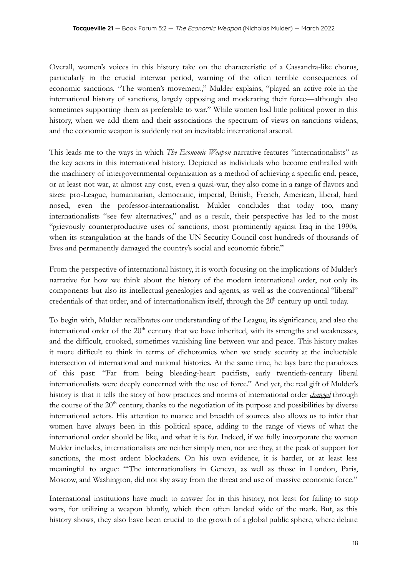Overall, women's voices in this history take on the characteristic of a Cassandra-like chorus, particularly in the crucial interwar period, warning of the often terrible consequences of economic sanctions. "The women's movement," Mulder explains, "played an active role in the international history of sanctions, largely opposing and moderating their force—although also sometimes supporting them as preferable to war." While women had little political power in this history, when we add them and their associations the spectrum of views on sanctions widens, and the economic weapon is suddenly not an inevitable international arsenal.

This leads me to the ways in which *The Economic Weapon* narrative features "internationalists" as the key actors in this international history*.* Depicted as individuals who become enthralled with the machinery of intergovernmental organization as a method of achieving a specific end, peace, or at least not war, at almost any cost, even a quasi-war, they also come in a range of flavors and sizes: pro-League, humanitarian, democratic, imperial, British, French, American, liberal, hard nosed, even the professor-internationalist. Mulder concludes that today too, many internationalists "see few alternatives," and as a result, their perspective has led to the most "grievously counterproductive uses of sanctions, most prominently against Iraq in the 1990s, when its strangulation at the hands of the UN Security Council cost hundreds of thousands of lives and permanently damaged the country's social and economic fabric."

From the perspective of international history, it is worth focusing on the implications of Mulder's narrative for how we think about the history of the modern international order, not only its components but also its intellectual genealogies and agents, as well as the conventional "liberal" credentials of that order, and of internationalism itself, through the  $20<sup>h</sup>$  century up until today.

To begin with, Mulder recalibrates our understanding of the League, its significance, and also the international order of the 20<sup>th</sup> century that we have inherited, with its strengths and weaknesses, and the difficult, crooked, sometimes vanishing line between war and peace. This history makes it more difficult to think in terms of dichotomies when we study security at the ineluctable intersection of international and national histories. At the same time, he lays bare the paradoxes of this past: "Far from being bleeding-heart pacifists, early twentieth-century liberal internationalists were deeply concerned with the use of force." And yet, the real gift of Mulder's history is that it tells the story of how practices and norms of international order *changed* through the course of the  $20<sup>th</sup>$  century, thanks to the negotiation of its purpose and possibilities by diverse international actors. His attention to nuance and breadth of sources also allows us to infer that women have always been in this political space, adding to the range of views of what the international order should be like, and what it is for. Indeed, if we fully incorporate the women Mulder includes, internationalists are neither simply men, nor are they, at the peak of support for sanctions, the most ardent blockaders. On his own evidence, it is harder, or at least less meaningful to argue: "'The internationalists in Geneva, as well as those in London, Paris, Moscow, and Washington, did not shy away from the threat and use of massive economic force."

International institutions have much to answer for in this history, not least for failing to stop wars, for utilizing a weapon bluntly, which then often landed wide of the mark. But, as this history shows, they also have been crucial to the growth of a global public sphere, where debate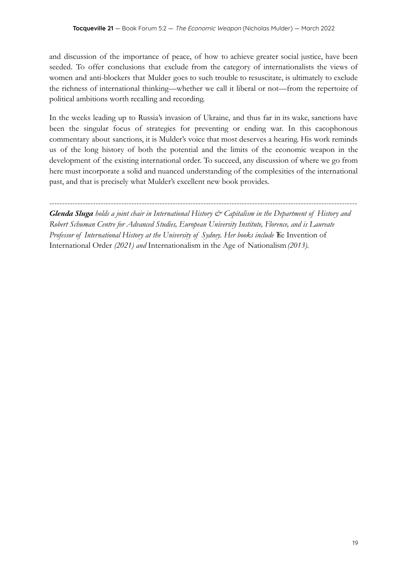and discussion of the importance of peace, of how to achieve greater social justice, have been seeded. To offer conclusions that exclude from the category of internationalists the views of women and anti-blockers that Mulder goes to such trouble to resuscitate, is ultimately to exclude the richness of international thinking—whether we call it liberal or not—from the repertoire of political ambitions worth recalling and recording.

In the weeks leading up to Russia's invasion of Ukraine, and thus far in its wake, sanctions have been the singular focus of strategies for preventing or ending war. In this cacophonous commentary about sanctions, it is Mulder's voice that most deserves a hearing. His work reminds us of the long history of both the potential and the limits of the economic weapon in the development of the existing international order. To succeed, any discussion of where we go from here must incorporate a solid and nuanced understanding of the complexities of the international past, and that is precisely what Mulder's excellent new book provides.

*Glenda Sluga holds a joint chair in International History & Capitalism in the Department of History and Robert Schuman Centre for Advanced Studies, European University Institute, Florence, and is Laureate* Professor of International History at the University of Sydney. Her books include The Invention of International Order *(2021) and* Internationalism in the Age of Nationalism*(2013).*

------------------------------------------------------------------------------------------------------------------------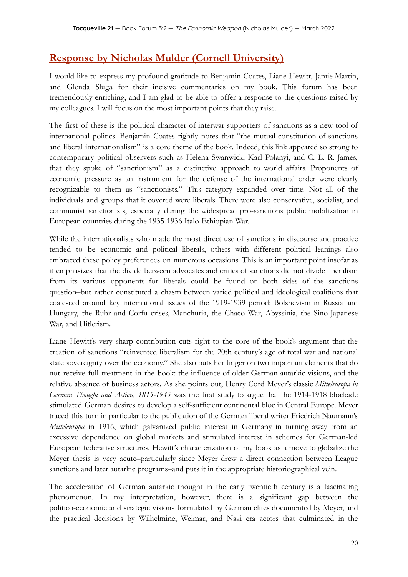## **Response by Nicholas Mulder (Cornell University)**

I would like to express my profound gratitude to Benjamin Coates, Liane Hewitt, Jamie Martin, and Glenda Sluga for their incisive commentaries on my book. This forum has been tremendously enriching, and I am glad to be able to offer a response to the questions raised by my colleagues. I will focus on the most important points that they raise.

The first of these is the political character of interwar supporters of sanctions as a new tool of international politics. Benjamin Coates rightly notes that "the mutual constitution of sanctions and liberal internationalism" is a core theme of the book. Indeed, this link appeared so strong to contemporary political observers such as Helena Swanwick, Karl Polanyi, and C. L. R. James, that they spoke of "sanctionism" as a distinctive approach to world affairs. Proponents of economic pressure as an instrument for the defense of the international order were clearly recognizable to them as "sanctionists." This category expanded over time. Not all of the individuals and groups that it covered were liberals. There were also conservative, socialist, and communist sanctionists, especially during the widespread pro-sanctions public mobilization in European countries during the 1935-1936 Italo-Ethiopian War.

While the internationalists who made the most direct use of sanctions in discourse and practice tended to be economic and political liberals, others with different political leanings also embraced these policy preferences on numerous occasions. This is an important point insofar as it emphasizes that the divide between advocates and critics of sanctions did not divide liberalism from its various opponents–for liberals could be found on both sides of the sanctions question–but rather constituted a chasm between varied political and ideological coalitions that coalesced around key international issues of the 1919-1939 period: Bolshevism in Russia and Hungary, the Ruhr and Corfu crises, Manchuria, the Chaco War, Abyssinia, the Sino-Japanese War, and Hitlerism.

Liane Hewitt's very sharp contribution cuts right to the core of the book's argument that the creation of sanctions "reinvented liberalism for the 20th century's age of total war and national state sovereignty over the economy." She also puts her finger on two important elements that do not receive full treatment in the book: the influence of older German autarkic visions, and the relative absence of business actors. As she points out, Henry Cord Meyer's classic *Mitteleuropa in German Thought and Action, 1815-1945* was the first study to argue that the 1914-1918 blockade stimulated German desires to develop a self-sufficient continental bloc in Central Europe. Meyer traced this turn in particular to the publication of the German liberal writer Friedrich Naumann's *Mitteleuropa* in 1916, which galvanized public interest in Germany in turning away from an excessive dependence on global markets and stimulated interest in schemes for German-led European federative structures. Hewitt's characterization of my book as a move to globalize the Meyer thesis is very acute–particularly since Meyer drew a direct connection between League sanctions and later autarkic programs–and puts it in the appropriate historiographical vein.

The acceleration of German autarkic thought in the early twentieth century is a fascinating phenomenon. In my interpretation, however, there is a significant gap between the politico-economic and strategic visions formulated by German elites documented by Meyer, and the practical decisions by Wilhelmine, Weimar, and Nazi era actors that culminated in the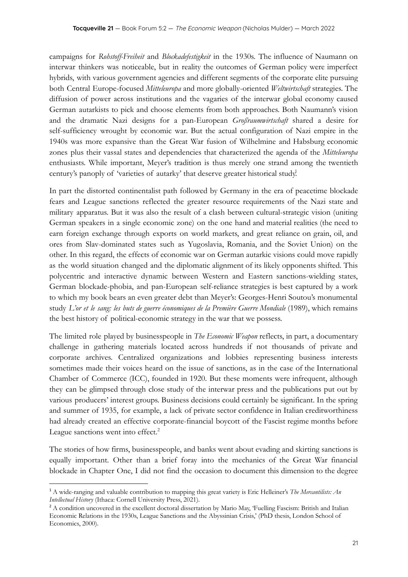campaigns for *Rohstoff-Freiheit* and *Blockadefestigkeit* in the 1930s. The influence of Naumann on interwar thinkers was noticeable, but in reality the outcomes of German policy were imperfect hybrids, with various government agencies and different segments of the corporate elite pursuing both Central Europe-focused *Mitteleuropa* and more globally-oriented *Weltwirtschaft* strategies. The diffusion of power across institutions and the vagaries of the interwar global economy caused German autarkists to pick and choose elements from both approaches. Both Naumann's vision and the dramatic Nazi designs for a pan-European *Großraumwirtschaft* shared a desire for self-sufficiency wrought by economic war. But the actual configuration of Nazi empire in the 1940s was more expansive than the Great War fusion of Wilhelmine and Habsburg economic zones plus their vassal states and dependencies that characterized the agenda of the *Mitteleuropa* enthusiasts. While important, Meyer's tradition is thus merely one strand among the twentieth century's panoply of 'varieties of autarky' that deserve greater historical study!

In part the distorted continentalist path followed by Germany in the era of peacetime blockade fears and League sanctions reflected the greater resource requirements of the Nazi state and military apparatus. But it was also the result of a clash between cultural-strategic vision (uniting German speakers in a single economic zone) on the one hand and material realities (the need to earn foreign exchange through exports on world markets, and great reliance on grain, oil, and ores from Slav-dominated states such as Yugoslavia, Romania, and the Soviet Union) on the other. In this regard, the effects of economic war on German autarkic visions could move rapidly as the world situation changed and the diplomatic alignment of its likely opponents shifted. This polycentric and interactive dynamic between Western and Eastern sanctions-wielding states, German blockade-phobia, and pan-European self-reliance strategies is best captured by a work to which my book bears an even greater debt than Meyer's: Georges-Henri Soutou's monumental study *L'or et le sang: les buts de guerre économiques de la Première Guerre Mondiale* (1989), which remains the best history of political-economic strategy in the war that we possess.

The limited role played by businesspeople in *The Economic Weapon* reflects, in part, a documentary challenge in gathering materials located across hundreds if not thousands of private and corporate archives. Centralized organizations and lobbies representing business interests sometimes made their voices heard on the issue of sanctions, as in the case of the International Chamber of Commerce (ICC), founded in 1920. But these moments were infrequent, although they can be glimpsed through close study of the interwar press and the publications put out by various producers' interest groups. Business decisions could certainly be significant. In the spring and summer of 1935, for example, a lack of private sector confidence in Italian creditworthiness had already created an effective corporate-financial boycott of the Fascist regime months before League sanctions went into effect.<sup>2</sup>

The stories of how firms, businesspeople, and banks went about evading and skirting sanctions is equally important. Other than a brief foray into the mechanics of the Great War financial blockade in Chapter One, I did not find the occasion to document this dimension to the degree

<sup>1</sup> A wide-ranging and valuable contribution to mapping this great variety is Eric Helleiner's *The Mercantilists: An Intellectual History* (Ithaca: Cornell University Press, 2021).

<sup>&</sup>lt;sup>2</sup> A condition uncovered in the excellent doctoral dissertation by Mario May, 'Fuelling Fascism: British and Italian Economic Relations in the 1930s, League Sanctions and the Abyssinian Crisis,' (PhD thesis, London School of Economics, 2000).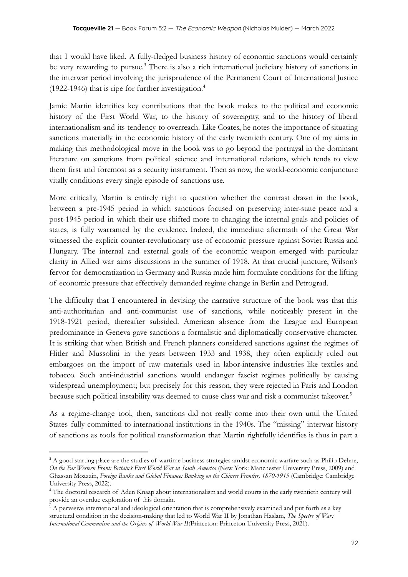that I would have liked. A fully-fledged business history of economic sanctions would certainly be very rewarding to pursue.<sup>3</sup> There is also a rich international judiciary history of sanctions in the interwar period involving the jurisprudence of the Permanent Court of International Justice (1922-1946) that is ripe for further investigation.<sup>4</sup>

Jamie Martin identifies key contributions that the book makes to the political and economic history of the First World War, to the history of sovereignty, and to the history of liberal internationalism and its tendency to overreach. Like Coates, he notes the importance of situating sanctions materially in the economic history of the early twentieth century. One of my aims in making this methodological move in the book was to go beyond the portrayal in the dominant literature on sanctions from political science and international relations, which tends to view them first and foremost as a security instrument. Then as now, the world-economic conjuncture vitally conditions every single episode of sanctions use.

More critically, Martin is entirely right to question whether the contrast drawn in the book, between a pre-1945 period in which sanctions focused on preserving inter-state peace and a post-1945 period in which their use shifted more to changing the internal goals and policies of states, is fully warranted by the evidence. Indeed, the immediate aftermath of the Great War witnessed the explicit counter-revolutionary use of economic pressure against Soviet Russia and Hungary. The internal and external goals of the economic weapon emerged with particular clarity in Allied war aims discussions in the summer of 1918. At that crucial juncture, Wilson's fervor for democratization in Germany and Russia made him formulate conditions for the lifting of economic pressure that effectively demanded regime change in Berlin and Petrograd.

The difficulty that I encountered in devising the narrative structure of the book was that this anti-authoritarian and anti-communist use of sanctions, while noticeably present in the 1918-1921 period, thereafter subsided. American absence from the League and European predominance in Geneva gave sanctions a formalistic and diplomatically conservative character. It is striking that when British and French planners considered sanctions against the regimes of Hitler and Mussolini in the years between 1933 and 1938, they often explicitly ruled out embargoes on the import of raw materials used in labor-intensive industries like textiles and tobacco. Such anti-industrial sanctions would endanger fascist regimes politically by causing widespread unemployment; but precisely for this reason, they were rejected in Paris and London because such political instability was deemed to cause class war and risk a communist takeover. 5

As a regime-change tool, then, sanctions did not really come into their own until the United States fully committed to international institutions in the 1940s. The "missing" interwar history of sanctions as tools for political transformation that Martin rightfully identifies is thus in part a

<sup>&</sup>lt;sup>3</sup> A good starting place are the studies of wartime business strategies amidst economic warfare such as Philip Dehne, *On the Far Western Front: Britain's First World War in South America* (New York: Manchester University Press, 2009) and Ghassan Moazzin, *Foreign Banks and Global Finance: Banking on the Chinese Frontier, 1870-1919* (Cambridge: Cambridge University Press, 2022).

<sup>&</sup>lt;sup>4</sup> The doctoral research of Aden Knaap about internationalism and world courts in the early twentieth century will provide an overdue exploration of this domain.

 $5$  A pervasive international and ideological orientation that is comprehensively examined and put forth as a key structural condition in the decision-making that led to World War II by Jonathan Haslam, *The Spectre of War: International Communism and the Origins of World War II*(Princeton: Princeton University Press, 2021).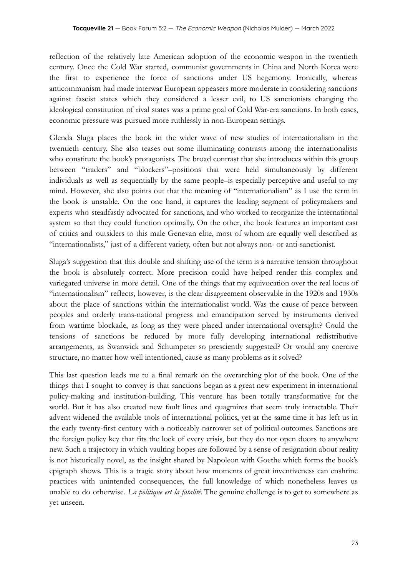reflection of the relatively late American adoption of the economic weapon in the twentieth century. Once the Cold War started, communist governments in China and North Korea were the first to experience the force of sanctions under US hegemony. Ironically, whereas anticommunism had made interwar European appeasers more moderate in considering sanctions against fascist states which they considered a lesser evil, to US sanctionists changing the ideological constitution of rival states was a prime goal of Cold War-era sanctions. In both cases, economic pressure was pursued more ruthlessly in non-European settings.

Glenda Sluga places the book in the wider wave of new studies of internationalism in the twentieth century. She also teases out some illuminating contrasts among the internationalists who constitute the book's protagonists. The broad contrast that she introduces within this group between "traders" and "blockers"–positions that were held simultaneously by different individuals as well as sequentially by the same people–is especially perceptive and useful to my mind. However, she also points out that the meaning of "internationalism" as I use the term in the book is unstable. On the one hand, it captures the leading segment of policymakers and experts who steadfastly advocated for sanctions, and who worked to reorganize the international system so that they could function optimally. On the other, the book features an important cast of critics and outsiders to this male Genevan elite, most of whom are equally well described as "internationalists," just of a different variety, often but not always non- or anti-sanctionist.

Sluga's suggestion that this double and shifting use of the term is a narrative tension throughout the book is absolutely correct. More precision could have helped render this complex and variegated universe in more detail. One of the things that my equivocation over the real locus of "internationalism" reflects, however, is the clear disagreement observable in the 1920s and 1930s about the place of sanctions within the internationalist world. Was the cause of peace between peoples and orderly trans-national progress and emancipation served by instruments derived from wartime blockade, as long as they were placed under international oversight? Could the tensions of sanctions be reduced by more fully developing international redistributive arrangements, as Swanwick and Schumpeter so presciently suggested? Or would any coercive structure, no matter how well intentioned, cause as many problems as it solved?

This last question leads me to a final remark on the overarching plot of the book. One of the things that I sought to convey is that sanctions began as a great new experiment in international policy-making and institution-building. This venture has been totally transformative for the world. But it has also created new fault lines and quagmires that seem truly intractable. Their advent widened the available tools of international politics, yet at the same time it has left us in the early twenty-first century with a noticeably narrower set of political outcomes. Sanctions are the foreign policy key that fits the lock of every crisis, but they do not open doors to anywhere new. Such a trajectory in which vaulting hopes are followed by a sense of resignation about reality is not historically novel, as the insight shared by Napoleon with Goethe which forms the book's epigraph shows. This is a tragic story about how moments of great inventiveness can enshrine practices with unintended consequences, the full knowledge of which nonetheless leaves us unable to do otherwise. *La politique est la fatalité*. The genuine challenge is to get to somewhere as yet unseen.